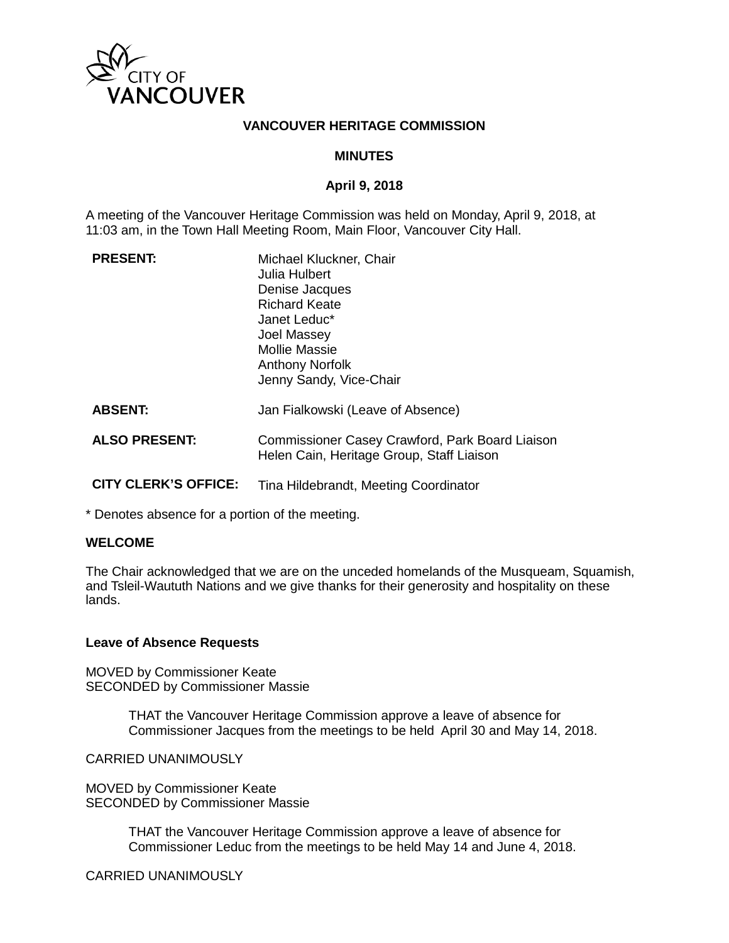

### **VANCOUVER HERITAGE COMMISSION**

### **MINUTES**

### **April 9, 2018**

A meeting of the Vancouver Heritage Commission was held on Monday, April 9, 2018, at 11:03 am, in the Town Hall Meeting Room, Main Floor, Vancouver City Hall.

| <b>PRESENT:</b>             | Michael Kluckner, Chair<br>Julia Hulbert<br>Denise Jacques<br><b>Richard Keate</b><br>Janet Leduc*<br>Joel Massey<br><b>Mollie Massie</b><br><b>Anthony Norfolk</b><br>Jenny Sandy, Vice-Chair |
|-----------------------------|------------------------------------------------------------------------------------------------------------------------------------------------------------------------------------------------|
| <b>ABSENT:</b>              | Jan Fialkowski (Leave of Absence)                                                                                                                                                              |
| <b>ALSO PRESENT:</b>        | Commissioner Casey Crawford, Park Board Liaison<br>Helen Cain, Heritage Group, Staff Liaison                                                                                                   |
| <b>CITY CLERK'S OFFICE:</b> | Tina Hildebrandt, Meeting Coordinator                                                                                                                                                          |

\* Denotes absence for a portion of the meeting.

### **WELCOME**

The Chair acknowledged that we are on the unceded homelands of the Musqueam, Squamish, and Tsleil-Waututh Nations and we give thanks for their generosity and hospitality on these lands.

### **Leave of Absence Requests**

MOVED by Commissioner Keate SECONDED by Commissioner Massie

> THAT the Vancouver Heritage Commission approve a leave of absence for Commissioner Jacques from the meetings to be held April 30 and May 14, 2018.

CARRIED UNANIMOUSLY

MOVED by Commissioner Keate SECONDED by Commissioner Massie

> THAT the Vancouver Heritage Commission approve a leave of absence for Commissioner Leduc from the meetings to be held May 14 and June 4, 2018.

CARRIED UNANIMOUSLY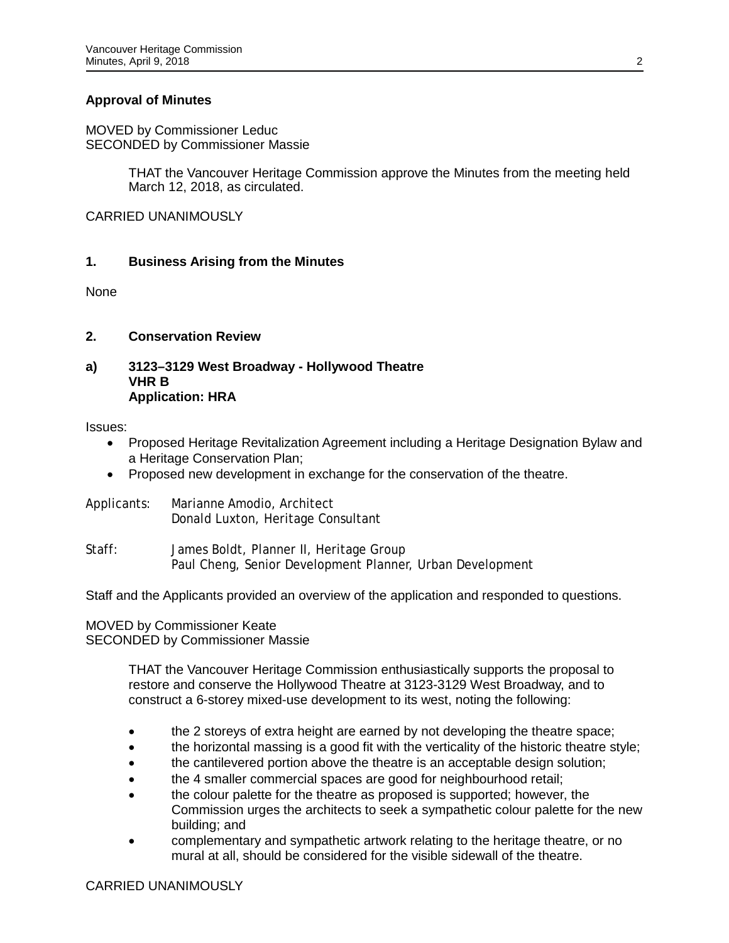# **Approval of Minutes**

MOVED by Commissioner Leduc SECONDED by Commissioner Massie

> THAT the Vancouver Heritage Commission approve the Minutes from the meeting held March 12, 2018, as circulated.

CARRIED UNANIMOUSLY

### **1. Business Arising from the Minutes**

None

### **2. Conservation Review**

## **a) 3123–3129 West Broadway - Hollywood Theatre VHR B Application: HRA**

Issues:

- Proposed Heritage Revitalization Agreement including a Heritage Designation Bylaw and a Heritage Conservation Plan;
- Proposed new development in exchange for the conservation of the theatre.
- Applicants: Marianne Amodio, Architect Donald Luxton, Heritage Consultant
- Staff: James Boldt, Planner II, Heritage Group Paul Cheng, Senior Development Planner, Urban Development

Staff and the Applicants provided an overview of the application and responded to questions.

MOVED by Commissioner Keate SECONDED by Commissioner Massie

> THAT the Vancouver Heritage Commission enthusiastically supports the proposal to restore and conserve the Hollywood Theatre at 3123-3129 West Broadway, and to construct a 6-storey mixed-use development to its west, noting the following:

- the 2 storeys of extra height are earned by not developing the theatre space;
- the horizontal massing is a good fit with the verticality of the historic theatre style;
- the cantilevered portion above the theatre is an acceptable design solution;
- the 4 smaller commercial spaces are good for neighbourhood retail;
- the colour palette for the theatre as proposed is supported; however, the Commission urges the architects to seek a sympathetic colour palette for the new building; and
- complementary and sympathetic artwork relating to the heritage theatre, or no mural at all, should be considered for the visible sidewall of the theatre.

# CARRIED UNANIMOUSLY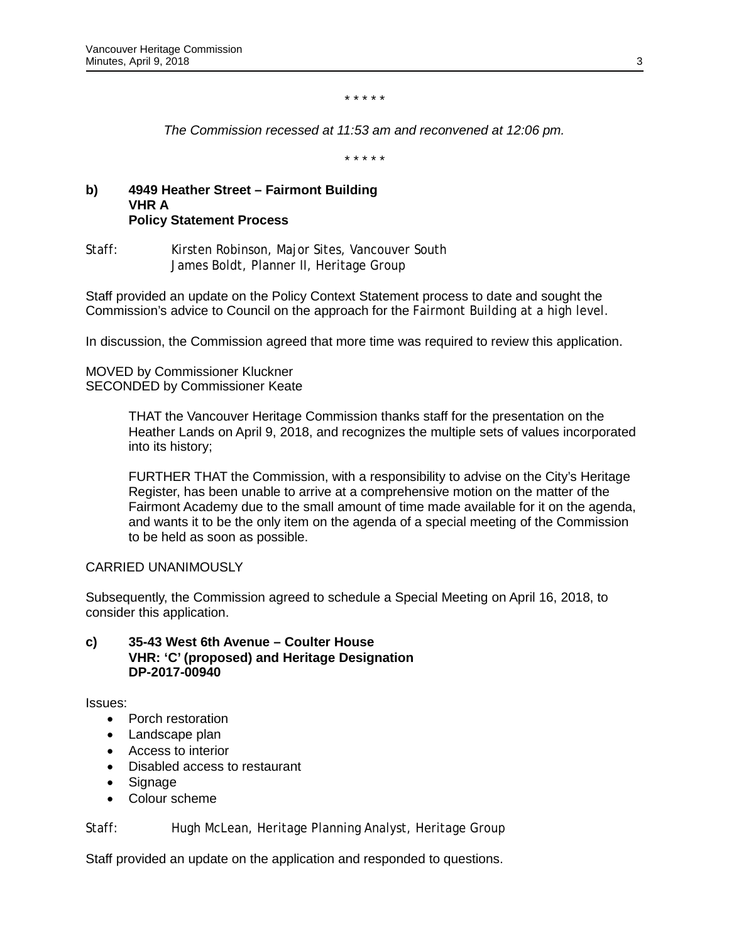#### *\* \* \* \* \**

*The Commission recessed at 11:53 am and reconvened at 12:06 pm.*

*\* \* \* \* \**

### **b) 4949 Heather Street – Fairmont Building VHR A Policy Statement Process**

Staff: Kirsten Robinson, Major Sites, Vancouver South James Boldt, Planner II, Heritage Group

Staff provided an update on the Policy Context Statement process to date and sought the Commission's advice to Council on the approach for the Fairmont Building at a high level.

In discussion, the Commission agreed that more time was required to review this application.

MOVED by Commissioner Kluckner SECONDED by Commissioner Keate

> THAT the Vancouver Heritage Commission thanks staff for the presentation on the Heather Lands on April 9, 2018, and recognizes the multiple sets of values incorporated into its history;

> FURTHER THAT the Commission, with a responsibility to advise on the City's Heritage Register, has been unable to arrive at a comprehensive motion on the matter of the Fairmont Academy due to the small amount of time made available for it on the agenda, and wants it to be the only item on the agenda of a special meeting of the Commission to be held as soon as possible.

## CARRIED UNANIMOUSLY

Subsequently, the Commission agreed to schedule a Special Meeting on April 16, 2018, to consider this application.

### **c) 35-43 West 6th Avenue – Coulter House VHR: 'C' (proposed) and Heritage Designation DP-2017-00940**

Issues:

- Porch restoration
- Landscape plan
- Access to interior
- Disabled access to restaurant
- Signage
- Colour scheme

Staff: Hugh McLean, Heritage Planning Analyst, Heritage Group

Staff provided an update on the application and responded to questions.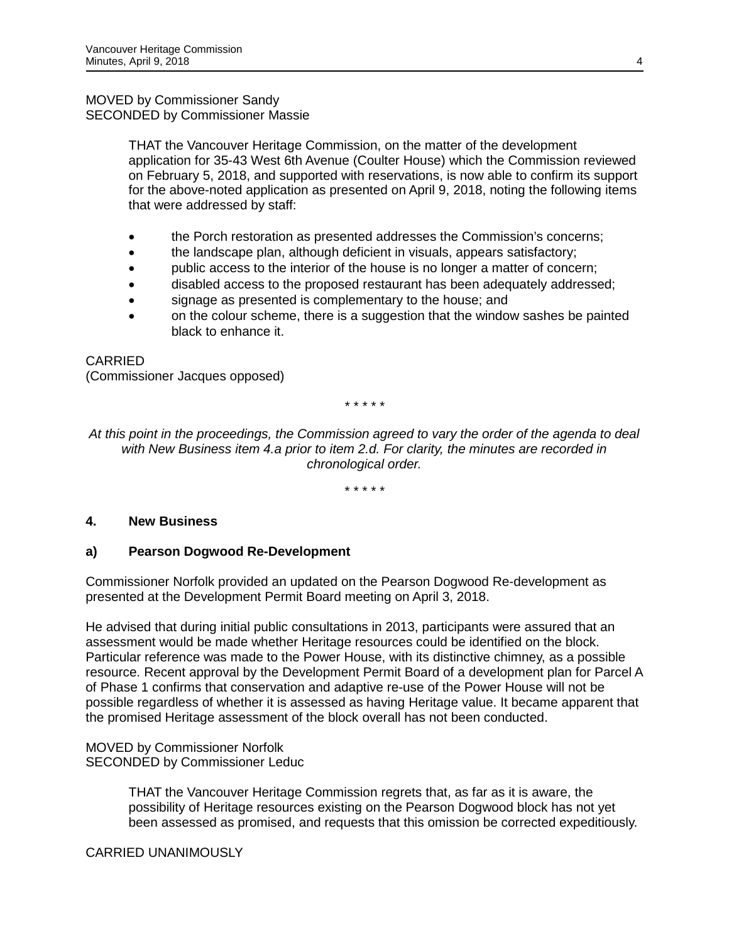# MOVED by Commissioner Sandy SECONDED by Commissioner Massie

THAT the Vancouver Heritage Commission, on the matter of the development application for 35-43 West 6th Avenue (Coulter House) which the Commission reviewed on February 5, 2018, and supported with reservations, is now able to confirm its support for the above-noted application as presented on April 9, 2018, noting the following items that were addressed by staff:

- the Porch restoration as presented addresses the Commission's concerns;
- the landscape plan, although deficient in visuals, appears satisfactory;
- public access to the interior of the house is no longer a matter of concern;
- disabled access to the proposed restaurant has been adequately addressed;
- signage as presented is complementary to the house; and
- on the colour scheme, there is a suggestion that the window sashes be painted black to enhance it.

# CARRIED

(Commissioner Jacques opposed)

*\* \* \* \* \**

*At this point in the proceedings, the Commission agreed to vary the order of the agenda to deal with New Business item 4.a prior to item 2.d. For clarity, the minutes are recorded in chronological order.*

*\* \* \* \* \** 

# **4. New Business**

# **a) Pearson Dogwood Re-Development**

Commissioner Norfolk provided an updated on the Pearson Dogwood Re-development as presented at the Development Permit Board meeting on April 3, 2018.

He advised that during initial public consultations in 2013, participants were assured that an assessment would be made whether Heritage resources could be identified on the block. Particular reference was made to the Power House, with its distinctive chimney, as a possible resource. Recent approval by the Development Permit Board of a development plan for Parcel A of Phase 1 confirms that conservation and adaptive re-use of the Power House will not be possible regardless of whether it is assessed as having Heritage value. It became apparent that the promised Heritage assessment of the block overall has not been conducted.

MOVED by Commissioner Norfolk SECONDED by Commissioner Leduc

> THAT the Vancouver Heritage Commission regrets that, as far as it is aware, the possibility of Heritage resources existing on the Pearson Dogwood block has not yet been assessed as promised, and requests that this omission be corrected expeditiously.

CARRIED UNANIMOUSLY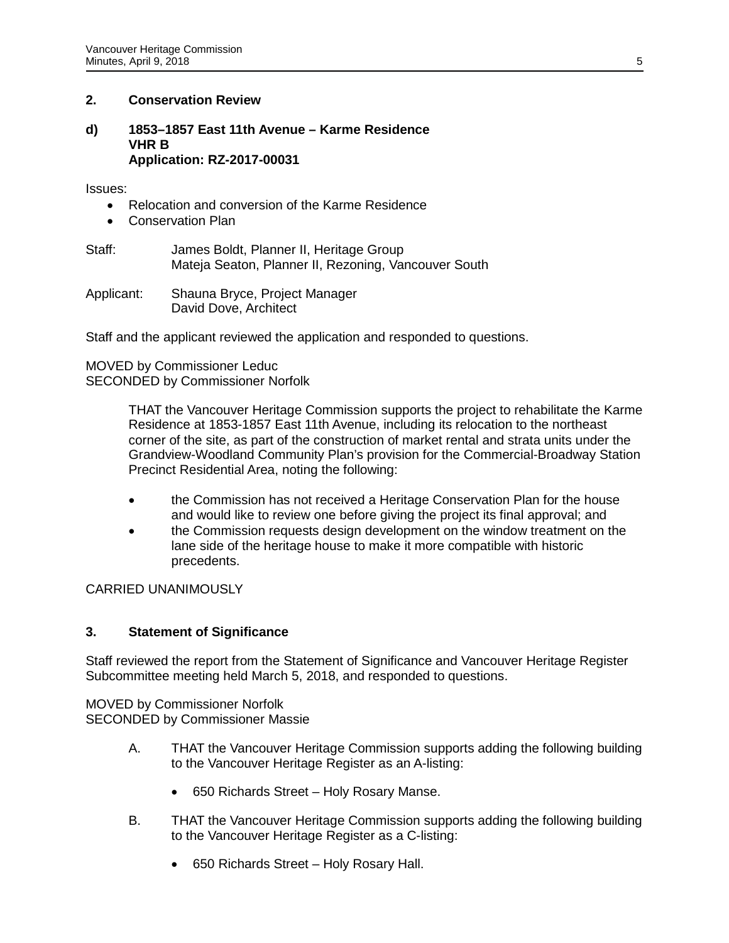# **2. Conservation Review**

### **d) 1853–1857 East 11th Avenue – Karme Residence VHR B Application: RZ-2017-00031**

Issues:

- Relocation and conversion of the Karme Residence
- Conservation Plan
- Staff: James Boldt, Planner II, Heritage Group Mateja Seaton, Planner II, Rezoning, Vancouver South
- Applicant: Shauna Bryce, Project Manager David Dove, Architect

Staff and the applicant reviewed the application and responded to questions.

## MOVED by Commissioner Leduc SECONDED by Commissioner Norfolk

THAT the Vancouver Heritage Commission supports the project to rehabilitate the Karme Residence at 1853-1857 East 11th Avenue, including its relocation to the northeast corner of the site, as part of the construction of market rental and strata units under the Grandview-Woodland Community Plan's provision for the Commercial-Broadway Station Precinct Residential Area, noting the following:

- the Commission has not received a Heritage Conservation Plan for the house and would like to review one before giving the project its final approval; and
- the Commission requests design development on the window treatment on the lane side of the heritage house to make it more compatible with historic precedents.

CARRIED UNANIMOUSLY

# **3. Statement of Significance**

Staff reviewed the report from the Statement of Significance and Vancouver Heritage Register Subcommittee meeting held March 5, 2018, and responded to questions.

MOVED by Commissioner Norfolk SECONDED by Commissioner Massie

- A. THAT the Vancouver Heritage Commission supports adding the following building to the Vancouver Heritage Register as an A-listing:
	- 650 Richards Street Holy Rosary Manse.
- B. THAT the Vancouver Heritage Commission supports adding the following building to the Vancouver Heritage Register as a C-listing:
	- 650 Richards Street Holy Rosary Hall.